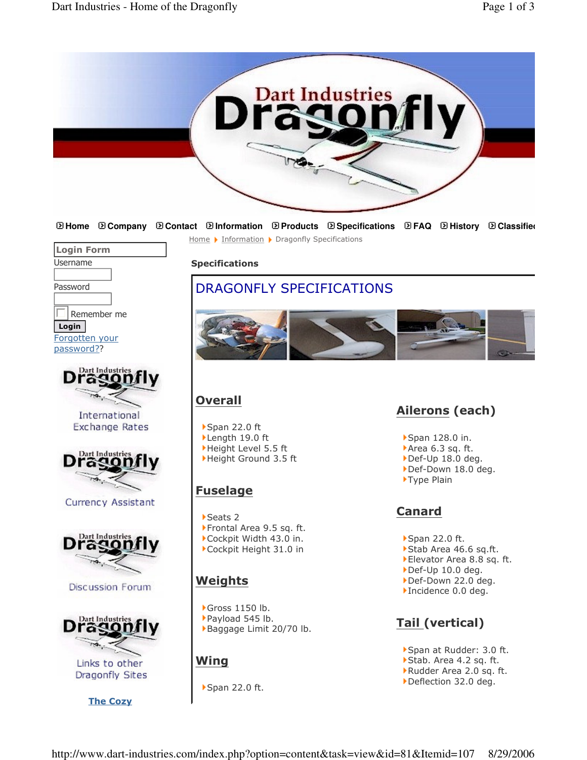

**Home Company Contact Information Products Specifications FAQ History Classifieds** Home ▶ Information ▶ Dragonfly Specifications



Password

 $\Box$ Remember me Login

Forgotten your password??



International Exchange Rates



Currency Assistant



**Discussion Forum** 



Links to other Dragonfly Sites

<u>The Cozy</u>

Specifications

## DRAGONFLY SPECIFICATIONS



## **Overall**

▶Span 22.0 ft  $\blacktriangleright$  Length 19.0 ft Height Level 5.5 ft Height Ground 3.5 ft

## **Fuselage**

Seats 2 Frontal Area 9.5 sq. ft. Cockpit Width 43.0 in. Cockpit Height 31.0 in

## Weights

Gross 1150 lb. Payload 545 lb. Baggage Limit 20/70 lb.

## Wing

▶ Span 22.0 ft.

# <u>Ailerons</u> (each)

- ▶ Span 128.0 in.
- Area 6.3 sq. ft.
- Def-Up 18.0 deg.
- Def-Down 18.0 deg.
- ▶ Type Plain

## **Canard**

- ▶ Span 22.0 ft.
- ▶ Stab Area 46.6 sq.ft.
- Elevator Area 8.8 sq. ft.
- Def-Up 10.0 deg.
- Def-Down 22.0 deg. Incidence 0.0 deg.
- 

## <u>Tail (</u>vertical)

- Span at Rudder: 3.0 ft.
- Stab. Area 4.2 sq. ft.
- Rudder Area 2.0 sq. ft. Deflection 32.0 deg.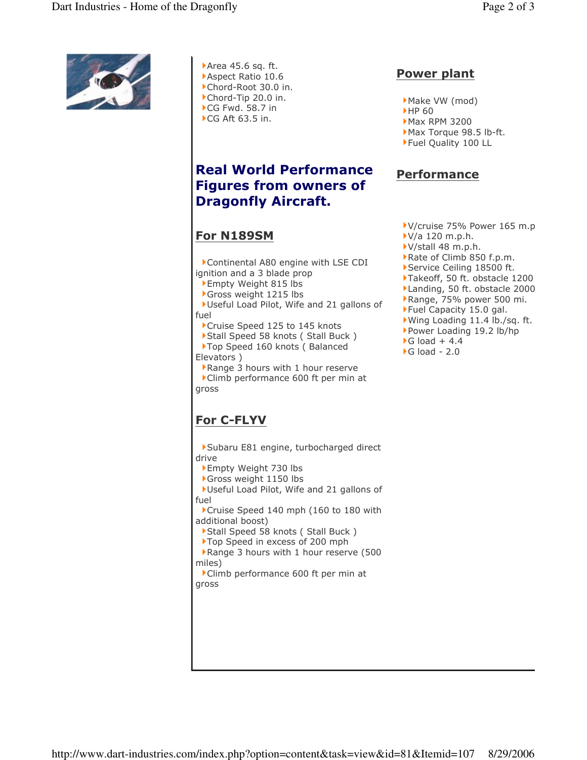

Area 45.6 sq. ft. Aspect Ratio 10.6 Chord-Root 30.0 in. Chord-Tip 20.0 in.  $\blacktriangleright$ CG Fwd. 58.7 in ▶ CG Aft 63.5 in.

## **Real World Performance** Figures from owners of **Dragonfly Aircraft.**

#### <u>For N189SM</u>

Continental A80 engine with LSE CDI ignition and a 3 blade prop

- Empty Weight 815 lbs
- Gross weight 1215 lbs

Useful Load Pilot, Wife and 21 gallons of fuel

Cruise Speed 125 to 145 knots

Stall Speed 58 knots (Stall Buck) Top Speed 160 knots ( Balanced Elevators)

Range 3 hours with 1 hour reserve Climb performance 600 ft per min at gross

## For C-FLYV

Subaru E81 engine, turbocharged direct drive

- Empty Weight 730 lbs
- Gross weight 1150 lbs

Useful Load Pilot, Wife and 21 gallons of fuel

Cruise Speed 140 mph (160 to 180 with additional boost)

Stall Speed 58 knots (Stall Buck)

Top Speed in excess of 200 mph

Range 3 hours with 1 hour reserve (500 miles)

Climb performance 600 ft per min at gross

#### Power plant

- Make VW (mod)
- **HP 60**
- $Max$  RPM 3200
- Max Torque 98.5 lb-ft.
- Fuel Quality 100 LL

### <u>Performance</u>

- V/cruise 75% Power 165 m.p
- $V/a$  120 m.p.h.
- ▶ V/stall 48 m.p.h.
- Rate of Climb 850 f.p.m.
- Service Ceiling 18500 ft.
- Takeoff, 50 ft. obstacle 1200
- Landing, 50 ft. obstacle 2000
- Range, 75% power 500 mi.
- Fuel Capacity 15.0 gal.
- Wing Loading 11.4 lb./sq. ft.
- Power Loading 19.2 lb/hp
- G load + 4.4
- G load 2.0